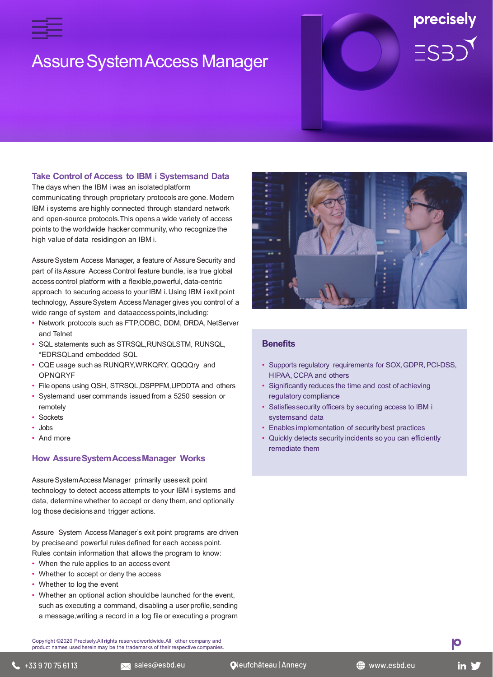

# **Assure System Access Manager**

# precisely  $ES3)$

## **Take Control of Access to IBM i Systemsand Data**

The days when the IBM i was an isolated platform communicating through proprietary protocols are gone. Modern IBM i systems are highly connected through standard network and open-source protocols.This opens a wide variety of access points to the worldwide hacker community, who recognize the high value of data residingon an IBM i.

Assure System Access Manager, a feature of Assure Security and part of itsAssure Access Control feature bundle, isa true global access control platform with a flexible,powerful, data-centric approach to securing access to your IBM i.Using IBM i exit point technology, AssureSystem Access Manager gives you control of a wide range of system and dataaccess points,including:

- Network protocols such as FTP,ODBC, DDM, DRDA, NetServer and Telnet
- SQL statements such as STRSQL,RUNSQLSTM, RUNSQL, \*EDRSQLand embedded SQL
- CQE usage such as RUNQRY,WRKQRY, QQQQry and OPNQRYF
- File opens using QSH, STRSQL,DSPPFM,UPDDTA and others
- Systemand user commands issued from a 5250 session or remotely
- Sockets
- Jobs
- And more

#### **How AssureSystemAccessManager Works**

Assure SystemAccess Manager primarily uses exit point technology to detect access attempts to your IBM i systems and data, determine whether to accept or deny them,and optionally log those decisionsand trigger actions.

Assure System Access Manager's exit point programs are driven by preciseand powerful rules defined for each access point.

Rules contain information that allows the program to know:

- When the rule applies to an access event
- Whether to accept or deny the access
- Whether to log the event
- Whether an optional action should be launched for the event. such as executing a command, disabling a user profile, sending a message,writing a record in a log file or executing a program

Copyright ©2020 Precisely.All rights reservedworldwide.All other company and product names used herein may be the trademarks of their respective companies.



## **Benefits**

- Supports regulatory requirements for SOX, GDPR, PCI-DSS, HIPAA, CCPA and others
- Significantly reduces the time and cost of achieving regulatory compliance
- Satisfiessecurity officers by securing access to IBM i systemsand data
- Enables implementation of securitybest practices
- Quickly detects security incidents so you can efficiently remediate them

Ю